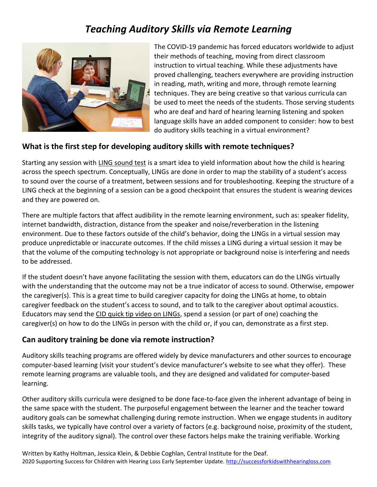# *Teaching Auditory Skills via Remote Learning*



The COVID-19 pandemic has forced educators worldwide to adjust their methods of teaching, moving from direct classroom instruction to virtual teaching. While these adjustments have proved challenging, teachers everywhere are providing instruction in reading, math, writing and more, through remote learning techniques. They are being creative so that various curricula can be used to meet the needs of the students. Those serving students who are deaf and hard of hearing learning listening and spoken language skills have an added component to consider: how to best do auditory skills teaching in a virtual environment?

### **What is the first step for developing auditory skills with remote techniques?**

Starting any session with LING [sound test](https://m.youtube.com/watch?v=Ot1zRYY9Lbg) is a smart idea to yield information about how the child is hearing across the speech spectrum. Conceptually, LINGs are done in order to map the stability of a student's access to sound over the course of a treatment, between sessions and for troubleshooting. Keeping the structure of a LING check at the beginning of a session can be a good checkpoint that ensures the student is wearing devices and they are powered on.

There are multiple factors that affect audibility in the remote learning environment, such as: speaker fidelity, internet bandwidth, distraction, distance from the speaker and noise/reverberation in the listening environment. Due to these factors outside of the child's behavior, doing the LINGs in a virtual session may produce unpredictable or inaccurate outcomes. If the child misses a LING during a virtual session it may be that the volume of the computing technology is not appropriate or background noise is interfering and needs to be addressed.

If the student doesn't have anyone facilitating the session with them, educators can do the LINGs virtually with the understanding that the outcome may not be a true indicator of access to sound. Otherwise, empower the caregiver(s). This is a great time to build caregiver capacity for doing the LINGs at home, to obtain caregiver feedback on the student's access to sound, and to talk to the caregiver about optimal acoustics. Educators may send the CID quick tip video on LINGs, spend a session (or part of one) coaching the caregiver(s) on how to do the LINGs in person with the child or, if you can, demonstrate as a first step.

#### **Can auditory training be done via remote instruction?**

Auditory skills teaching programs are offered widely by device manufacturers and other sources to encourage computer-based learning (visit your student's device manufacturer's website to see what they offer). These remote learning programs are valuable tools, and they are designed and validated for computer-based learning.

Other auditory skills curricula were designed to be done face-to-face given the inherent advantage of being in the same space with the student. The purposeful engagement between the learner and the teacher toward auditory goals can be somewhat challenging during remote instruction. When we engage students in auditory skills tasks, we typically have control over a variety of factors (e.g. background noise, proximity of the student, integrity of the auditory signal). The control over these factors helps make the training verifiable. Working

Written by Kathy Holtman, Jessica Klein, & Debbie Coghlan, Central Institute for the Deaf. 2020 Supporting Success for Children with Hearing Loss Early September Update. [http://successforkidswithhearingloss.com](http://successforkidswithhearingloss.com/)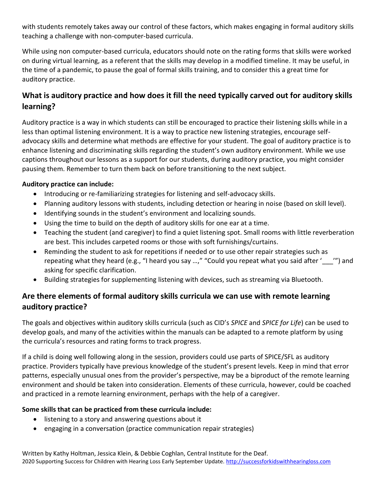with students remotely takes away our control of these factors, which makes engaging in formal auditory skills teaching a challenge with non-computer-based curricula.

While using non computer-based curricula, educators should note on the rating forms that skills were worked on during virtual learning, as a referent that the skills may develop in a modified timeline. It may be useful, in the time of a pandemic, to pause the goal of formal skills training, and to consider this a great time for auditory practice.

## **What is auditory practice and how does it fill the need typically carved out for auditory skills learning?**

Auditory practice is a way in which students can still be encouraged to practice their listening skills while in a less than optimal listening environment. It is a way to practice new listening strategies, encourage selfadvocacy skills and determine what methods are effective for your student. The goal of auditory practice is to enhance listening and discriminating skills regarding the student's own auditory environment. While we use captions throughout our lessons as a support for our students, during auditory practice, you might consider pausing them. Remember to turn them back on before transitioning to the next subject.

#### **Auditory practice can include:**

- Introducing or re-familiarizing strategies for listening and self-advocacy skills.
- Planning auditory lessons with students, including detection or hearing in noise (based on skill level).
- Identifying sounds in the student's environment and localizing sounds.
- Using the time to build on the depth of auditory skills for one ear at a time.
- Teaching the student (and caregiver) to find a quiet listening spot. Small rooms with little reverberation are best. This includes carpeted rooms or those with soft furnishings/curtains.
- Reminding the student to ask for repetitions if needed or to use other repair strategies such as repeating what they heard (e.g., "I heard you say …," "Could you repeat what you said after '\_\_\_'") and asking for specific clarification.
- Building strategies for supplementing listening with devices, such as streaming via Bluetooth.

### **Are there elements of formal auditory skills curricula we can use with remote learning auditory practice?**

The goals and objectives within auditory skills curricula (such as CID's *SPICE* and *SPICE for Life*) can be used to develop goals, and many of the activities within the manuals can be adapted to a remote platform by using the curricula's resources and rating forms to track progress.

If a child is doing well following along in the session, providers could use parts of SPICE/SFL as auditory practice. Providers typically have previous knowledge of the student's present levels. Keep in mind that error patterns, especially unusual ones from the provider's perspective, may be a biproduct of the remote learning environment and should be taken into consideration. Elements of these curricula, however, could be coached and practiced in a remote learning environment, perhaps with the help of a caregiver.

#### **Some skills that can be practiced from these curricula include:**

- listening to a story and answering questions about it
- engaging in a conversation (practice communication repair strategies)